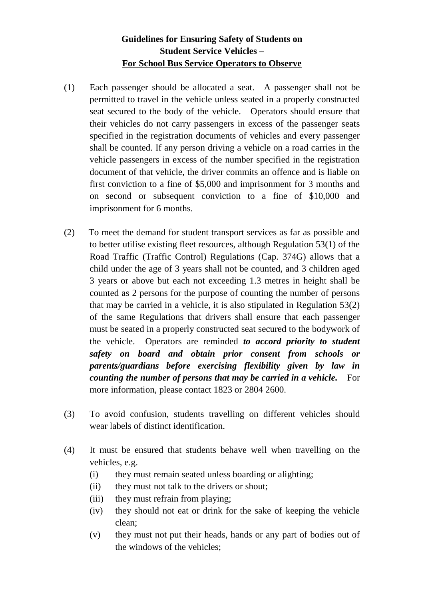# **Guidelines for Ensuring Safety of Students on Student Service Vehicles – For School Bus Service Operators to Observe**

- (1) Each passenger should be allocated a seat. A passenger shall not be permitted to travel in the vehicle unless seated in a properly constructed seat secured to the body of the vehicle. Operators should ensure that their vehicles do not carry passengers in excess of the passenger seats specified in the registration documents of vehicles and every passenger shall be counted. If any person driving a vehicle on a road carries in the vehicle passengers in excess of the number specified in the registration document of that vehicle, the driver commits an offence and is liable on first conviction to a fine of \$5,000 and imprisonment for 3 months and on second or subsequent conviction to a fine of \$10,000 and imprisonment for 6 months.
- (2) To meet the demand for student transport services as far as possible and to better utilise existing fleet resources, although Regulation 53(1) of the Road Traffic (Traffic Control) Regulations (Cap. 374G) allows that a child under the age of 3 years shall not be counted, and 3 children aged 3 years or above but each not exceeding 1.3 metres in height shall be counted as 2 persons for the purpose of counting the number of persons that may be carried in a vehicle, it is also stipulated in Regulation 53(2) of the same Regulations that drivers shall ensure that each passenger must be seated in a properly constructed seat secured to the bodywork of the vehicle. Operators are reminded *to accord priority to student safety on board and obtain prior consent from schools or parents/guardians before exercising flexibility given by law in counting the number of persons that may be carried in a vehicle.* For more information, please contact 1823 or 2804 2600.
- (3) To avoid confusion, students travelling on different vehicles should wear labels of distinct identification.
- (4) It must be ensured that students behave well when travelling on the vehicles, e.g.
	- (i) they must remain seated unless boarding or alighting;
	- (ii) they must not talk to the drivers or shout;
	- (iii) they must refrain from playing;
	- (iv) they should not eat or drink for the sake of keeping the vehicle clean;
	- (v) they must not put their heads, hands or any part of bodies out of the windows of the vehicles;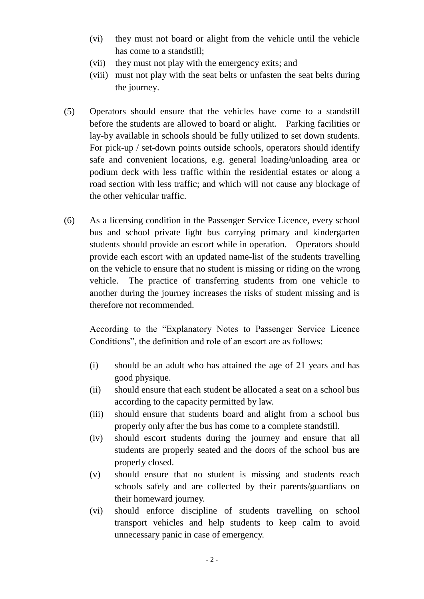- (vi) they must not board or alight from the vehicle until the vehicle has come to a standstill;
- (vii) they must not play with the emergency exits; and
- (viii) must not play with the seat belts or unfasten the seat belts during the journey.
- (5) Operators should ensure that the vehicles have come to a standstill before the students are allowed to board or alight. Parking facilities or lay-by available in schools should be fully utilized to set down students. For pick-up / set-down points outside schools, operators should identify safe and convenient locations, e.g. general loading/unloading area or podium deck with less traffic within the residential estates or along a road section with less traffic; and which will not cause any blockage of the other vehicular traffic.
- (6) As a licensing condition in the Passenger Service Licence, every school bus and school private light bus carrying primary and kindergarten students should provide an escort while in operation. Operators should provide each escort with an updated name-list of the students travelling on the vehicle to ensure that no student is missing or riding on the wrong vehicle. The practice of transferring students from one vehicle to another during the journey increases the risks of student missing and is therefore not recommended.

According to the "Explanatory Notes to Passenger Service Licence Conditions", the definition and role of an escort are as follows:

- (i) should be an adult who has attained the age of 21 years and has good physique.
- (ii) should ensure that each student be allocated a seat on a school bus according to the capacity permitted by law.
- (iii) should ensure that students board and alight from a school bus properly only after the bus has come to a complete standstill.
- (iv) should escort students during the journey and ensure that all students are properly seated and the doors of the school bus are properly closed.
- (v) should ensure that no student is missing and students reach schools safely and are collected by their parents/guardians on their homeward journey.
- (vi) should enforce discipline of students travelling on school transport vehicles and help students to keep calm to avoid unnecessary panic in case of emergency.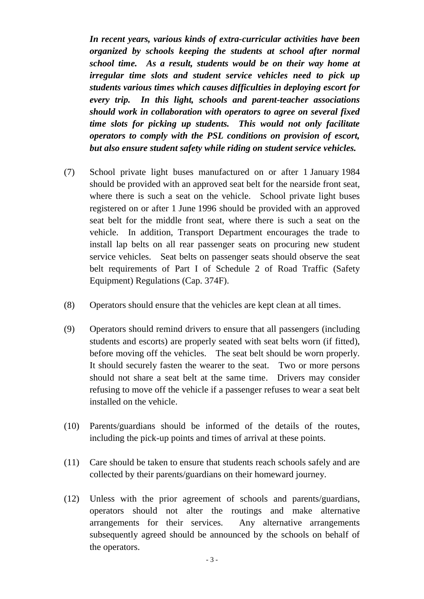*In recent years, various kinds of extra-curricular activities have been organized by schools keeping the students at school after normal school time. As a result, students would be on their way home at irregular time slots and student service vehicles need to pick up students various times which causes difficulties in deploying escort for every trip. In this light, schools and parent-teacher associations should work in collaboration with operators to agree on several fixed time slots for picking up students. This would not only facilitate operators to comply with the PSL conditions on provision of escort, but also ensure student safety while riding on student service vehicles.*

- (7) School private light buses manufactured on or after 1 January 1984 should be provided with an approved seat belt for the nearside front seat, where there is such a seat on the vehicle. School private light buses registered on or after 1 June 1996 should be provided with an approved seat belt for the middle front seat, where there is such a seat on the vehicle. In addition, Transport Department encourages the trade to install lap belts on all rear passenger seats on procuring new student service vehicles. Seat belts on passenger seats should observe the seat belt requirements of Part I of Schedule 2 of Road Traffic (Safety Equipment) Regulations (Cap. 374F).
- (8) Operators should ensure that the vehicles are kept clean at all times.
- (9) Operators should remind drivers to ensure that all passengers (including students and escorts) are properly seated with seat belts worn (if fitted), before moving off the vehicles. The seat belt should be worn properly. It should securely fasten the wearer to the seat. Two or more persons should not share a seat belt at the same time. Drivers may consider refusing to move off the vehicle if a passenger refuses to wear a seat belt installed on the vehicle.
- (10) Parents/guardians should be informed of the details of the routes, including the pick-up points and times of arrival at these points.
- (11) Care should be taken to ensure that students reach schools safely and are collected by their parents/guardians on their homeward journey.
- (12) Unless with the prior agreement of schools and parents/guardians, operators should not alter the routings and make alternative arrangements for their services. Any alternative arrangements subsequently agreed should be announced by the schools on behalf of the operators.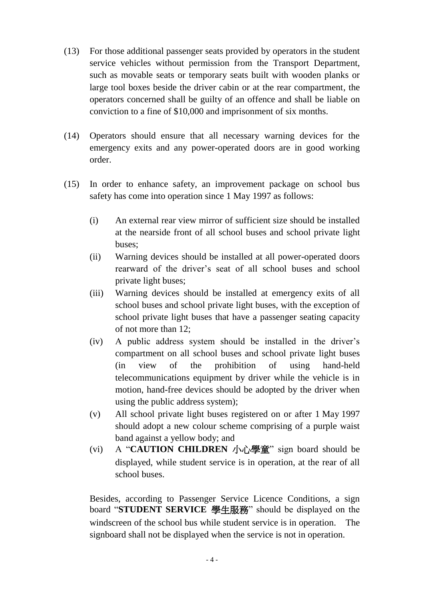- (13) For those additional passenger seats provided by operators in the student service vehicles without permission from the Transport Department, such as movable seats or temporary seats built with wooden planks or large tool boxes beside the driver cabin or at the rear compartment, the operators concerned shall be guilty of an offence and shall be liable on conviction to a fine of \$10,000 and imprisonment of six months.
- (14) Operators should ensure that all necessary warning devices for the emergency exits and any power-operated doors are in good working order.
- (15) In order to enhance safety, an improvement package on school bus safety has come into operation since 1 May 1997 as follows:
	- (i) An external rear view mirror of sufficient size should be installed at the nearside front of all school buses and school private light buses;
	- (ii) Warning devices should be installed at all power-operated doors rearward of the driver's seat of all school buses and school private light buses;
	- (iii) Warning devices should be installed at emergency exits of all school buses and school private light buses, with the exception of school private light buses that have a passenger seating capacity of not more than 12;
	- (iv) A public address system should be installed in the driver's compartment on all school buses and school private light buses (in view of the prohibition of using hand-held telecommunications equipment by driver while the vehicle is in motion, hand-free devices should be adopted by the driver when using the public address system);
	- (v) All school private light buses registered on or after 1 May 1997 should adopt a new colour scheme comprising of a purple waist band against a yellow body; and
	- (vi) A "**CAUTION CHILDREN** 小心學童" sign board should be displayed, while student service is in operation, at the rear of all school buses.

Besides, according to Passenger Service Licence Conditions, a sign board "**STUDENT SERVICE** 學生服務" should be displayed on the windscreen of the school bus while student service is in operation. The signboard shall not be displayed when the service is not in operation.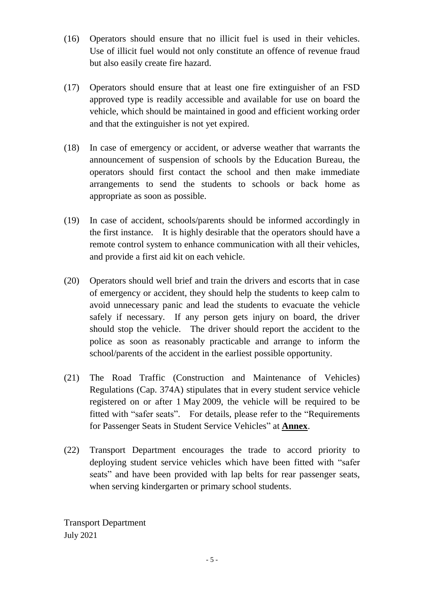- (16) Operators should ensure that no illicit fuel is used in their vehicles. Use of illicit fuel would not only constitute an offence of revenue fraud but also easily create fire hazard.
- (17) Operators should ensure that at least one fire extinguisher of an FSD approved type is readily accessible and available for use on board the vehicle, which should be maintained in good and efficient working order and that the extinguisher is not yet expired.
- (18) In case of emergency or accident, or adverse weather that warrants the announcement of suspension of schools by the Education Bureau, the operators should first contact the school and then make immediate arrangements to send the students to schools or back home as appropriate as soon as possible.
- (19) In case of accident, schools/parents should be informed accordingly in the first instance. It is highly desirable that the operators should have a remote control system to enhance communication with all their vehicles, and provide a first aid kit on each vehicle.
- (20) Operators should well brief and train the drivers and escorts that in case of emergency or accident, they should help the students to keep calm to avoid unnecessary panic and lead the students to evacuate the vehicle safely if necessary. If any person gets injury on board, the driver should stop the vehicle. The driver should report the accident to the police as soon as reasonably practicable and arrange to inform the school/parents of the accident in the earliest possible opportunity.
- (21) The Road Traffic (Construction and Maintenance of Vehicles) Regulations (Cap. 374A) stipulates that in every student service vehicle registered on or after 1 May 2009, the vehicle will be required to be fitted with "safer seats". For details, please refer to the "Requirements for Passenger Seats in Student Service Vehicles" at **Annex**.
- (22) Transport Department encourages the trade to accord priority to deploying student service vehicles which have been fitted with "safer seats" and have been provided with lap belts for rear passenger seats, when serving kindergarten or primary school students.

Transport Department July 2021